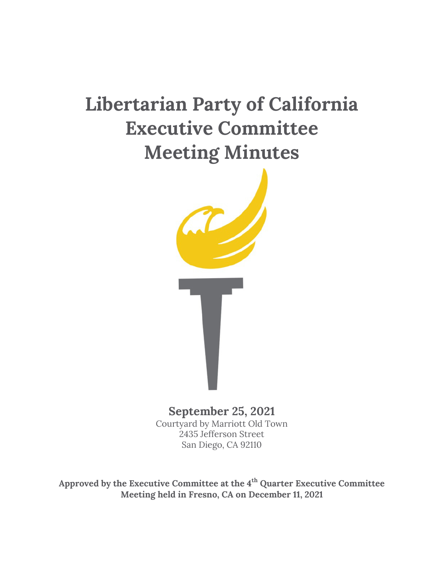# **Libertarian Party of California Executive Committee Meeting Minutes**



**September 25, 2021**  Courtyard by Marriott Old Town 2435 Jefferson Street San Diego, CA 92110

**Approved by the Executive Committee at the 4th Quarter Executive Committee Meeting held in Fresno, CA on December 11, 2021**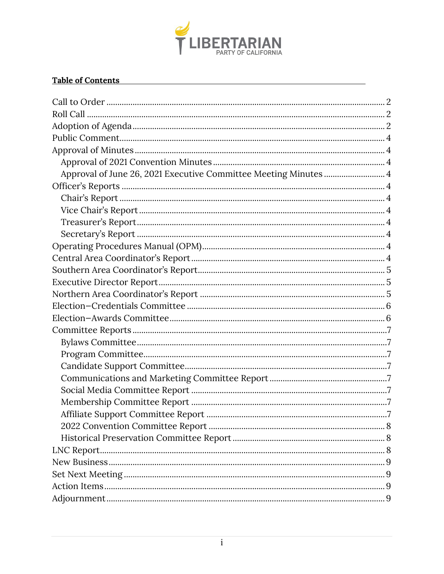

#### Table of Contents

| Approval of June 26, 2021 Executive Committee Meeting Minutes  4 |
|------------------------------------------------------------------|
|                                                                  |
|                                                                  |
|                                                                  |
|                                                                  |
|                                                                  |
|                                                                  |
|                                                                  |
|                                                                  |
|                                                                  |
|                                                                  |
|                                                                  |
|                                                                  |
|                                                                  |
|                                                                  |
|                                                                  |
|                                                                  |
|                                                                  |
|                                                                  |
|                                                                  |
|                                                                  |
|                                                                  |
|                                                                  |
|                                                                  |
|                                                                  |
|                                                                  |
|                                                                  |
|                                                                  |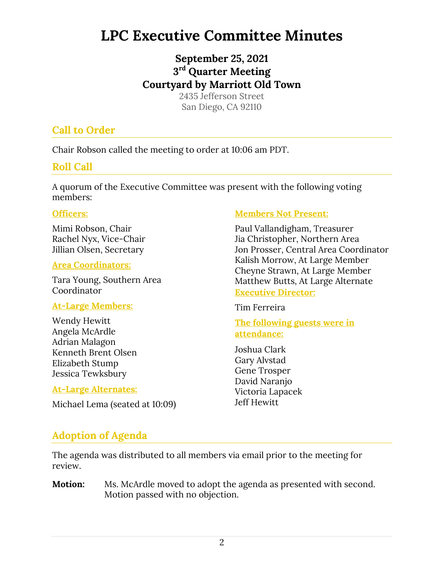# **LPC Executive Committee Minutes**

# **September 25, 2021 3 rd Quarter Meeting Courtyard by Marriott Old Town**

2435 Jefferson Street San Diego, CA 92110

# **Call to Order**

Chair Robson called the meeting to order at 10:06 am PDT.

# **Roll Call**

A quorum of the Executive Committee was present with the following voting members:

#### **Officers:**

Mimi Robson, Chair Rachel Nyx, Vice-Chair Jillian Olsen, Secretary

#### **Area Coordinators:**

Tara Young, Southern Area **Coordinator** 

# **At-Large Members:**

Wendy Hewitt Angela McArdle Adrian Malagon Kenneth Brent Olsen Elizabeth Stump Jessica Tewksbury

#### **At-Large Alternates:**

Michael Lema (seated at 10:09)

# **Members Not Present:**

Paul Vallandigham, Treasurer Jia Christopher, Northern Area Jon Prosser, Central Area Coordinator Kalish Morrow, At Large Member Cheyne Strawn, At Large Member Matthew Butts, At Large Alternate **Executive Director:** 

Tim Ferreira

**The following guests were in attendance:** 

Joshua Clark Gary Alvstad Gene Trosper David Naranjo Victoria Lapacek Jeff Hewitt

# **Adoption of Agenda**

The agenda was distributed to all members via email prior to the meeting for review.

**Motion:** Ms. McArdle moved to adopt the agenda as presented with second. Motion passed with no objection.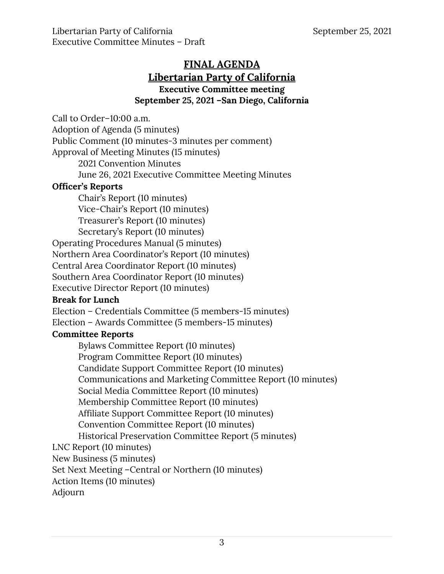Libertarian Party of California  $\blacksquare$  September 25, 2021 Executive Committee Minutes – Draft

# **FINAL AGENDA Libertarian Party of California Executive Committee meeting September 25, 2021 –San Diego, California**

Call to Order–10:00 a.m.

Adoption of Agenda (5 minutes)

Public Comment (10 minutes-3 minutes per comment)

Approval of Meeting Minutes (15 minutes)

2021 Convention Minutes

June 26, 2021 Executive Committee Meeting Minutes

#### **Officer's Reports**

Chair's Report (10 minutes) Vice-Chair's Report (10 minutes) Treasurer's Report (10 minutes) Secretary's Report (10 minutes)

Operating Procedures Manual (5 minutes)

Northern Area Coordinator's Report (10 minutes)

Central Area Coordinator Report (10 minutes)

Southern Area Coordinator Report (10 minutes)

Executive Director Report (10 minutes)

# **Break for Lunch**

Election – Credentials Committee (5 members-15 minutes)

Election – Awards Committee (5 members-15 minutes)

# **Committee Reports**

Bylaws Committee Report (10 minutes)

Program Committee Report (10 minutes)

Candidate Support Committee Report (10 minutes)

Communications and Marketing Committee Report (10 minutes)

Social Media Committee Report (10 minutes)

Membership Committee Report (10 minutes)

Affiliate Support Committee Report (10 minutes)

Convention Committee Report (10 minutes)

Historical Preservation Committee Report (5 minutes)

LNC Report (10 minutes)

New Business (5 minutes)

Set Next Meeting –Central or Northern (10 minutes)

Action Items (10 minutes)

Adjourn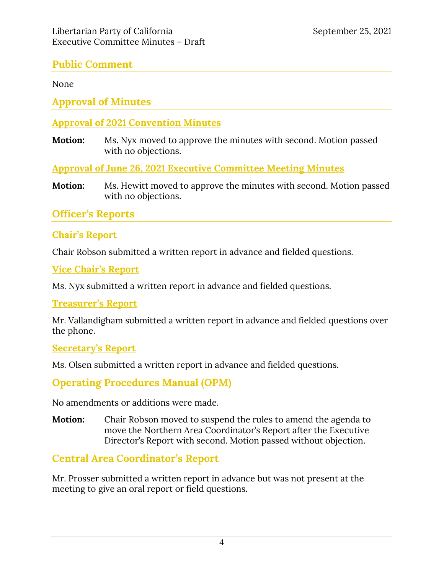# **Public Comment**

None

**Approval of Minutes** 

#### **Approval of 2021 Convention Minutes**

**Motion:** Ms. Nyx moved to approve the minutes with second. Motion passed with no objections.

**Approval of June 26, 2021 Executive Committee Meeting Minutes**

**Motion:** Ms. Hewitt moved to approve the minutes with second. Motion passed with no objections.

**Officer's Reports** 

#### **Chair's Report**

Chair Robson submitted a written report in advance and fielded questions.

**Vice Chair's Report** 

Ms. Nyx submitted a written report in advance and fielded questions.

#### **Treasurer's Report**

Mr. Vallandigham submitted a written report in advance and fielded questions over the phone.

#### **Secretary's Report**

Ms. Olsen submitted a written report in advance and fielded questions.

**Operating Procedures Manual (OPM)** 

No amendments or additions were made.

**Motion:** Chair Robson moved to suspend the rules to amend the agenda to move the Northern Area Coordinator's Report after the Executive Director's Report with second. Motion passed without objection.

**Central Area Coordinator's Report** 

Mr. Prosser submitted a written report in advance but was not present at the meeting to give an oral report or field questions.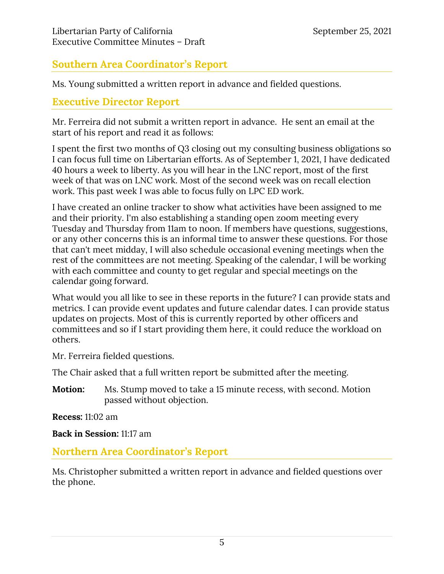# **Southern Area Coordinator's Report**

Ms. Young submitted a written report in advance and fielded questions.

# **Executive Director Report**

Mr. Ferreira did not submit a written report in advance. He sent an email at the start of his report and read it as follows:

I spent the first two months of Q3 closing out my consulting business obligations so I can focus full time on Libertarian efforts. As of September 1, 2021, I have dedicated 40 hours a week to liberty. As you will hear in the LNC report, most of the first week of that was on LNC work. Most of the second week was on recall election work. This past week I was able to focus fully on LPC ED work.

I have created an online tracker to show what activities have been assigned to me and their priority. I'm also establishing a standing open zoom meeting every Tuesday and Thursday from 11am to noon. If members have questions, suggestions, or any other concerns this is an informal time to answer these questions. For those that can't meet midday, I will also schedule occasional evening meetings when the rest of the committees are not meeting. Speaking of the calendar, I will be working with each committee and county to get regular and special meetings on the calendar going forward.

What would you all like to see in these reports in the future? I can provide stats and metrics. I can provide event updates and future calendar dates. I can provide status updates on projects. Most of this is currently reported by other officers and committees and so if I start providing them here, it could reduce the workload on others.

Mr. Ferreira fielded questions.

The Chair asked that a full written report be submitted after the meeting.

**Motion:** Ms. Stump moved to take a 15 minute recess, with second. Motion passed without objection.

**Recess:** 11:02 am

**Back in Session:** 11:17 am

#### **Northern Area Coordinator's Report**

Ms. Christopher submitted a written report in advance and fielded questions over the phone.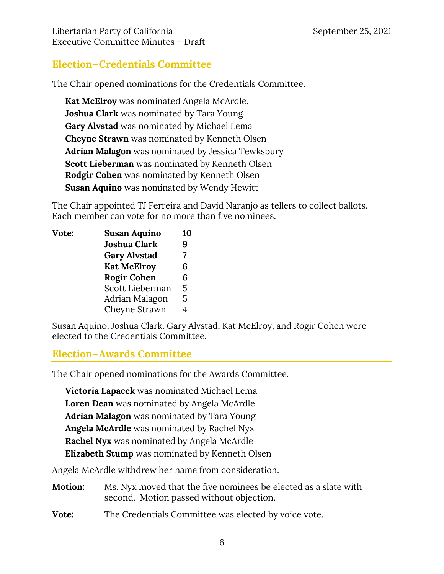#### Libertarian Party of California  $\blacksquare$  September 25, 2021 Executive Committee Minutes – Draft

# **Election—Credentials Committee**

The Chair opened nominations for the Credentials Committee.

**Kat McElroy** was nominated Angela McArdle. **Joshua Clark** was nominated by Tara Young **Gary Alvstad** was nominated by Michael Lema **Cheyne Strawn** was nominated by Kenneth Olsen **Adrian Malagon** was nominated by Jessica Tewksbury **Scott Lieberman** was nominated by Kenneth Olsen **Rodgir Cohen** was nominated by Kenneth Olsen **Susan Aquino** was nominated by Wendy Hewitt

The Chair appointed TJ Ferreira and David Naranjo as tellers to collect ballots. Each member can vote for no more than five nominees.

| Vote: | <b>Susan Aquino</b> | 10 |
|-------|---------------------|----|
|       | Joshua Clark        | 9  |
|       | <b>Gary Alvstad</b> | 7  |
|       | <b>Kat McElroy</b>  | 6  |
|       | <b>Rogir Cohen</b>  | 6  |
|       | Scott Lieberman     | 5  |
|       | Adrian Malagon      | 5  |
|       | Cheyne Strawn       |    |

Susan Aquino, Joshua Clark. Gary Alvstad, Kat McElroy, and Rogir Cohen were elected to the Credentials Committee.

# **Election—Awards Committee**

The Chair opened nominations for the Awards Committee.

**Victoria Lapacek** was nominated Michael Lema **Loren Dean** was nominated by Angela McArdle **Adrian Malagon** was nominated by Tara Young **Angela McArdle** was nominated by Rachel Nyx **Rachel Nyx** was nominated by Angela McArdle **Elizabeth Stump** was nominated by Kenneth Olsen

Angela McArdle withdrew her name from consideration.

- **Motion:** Ms. Nyx moved that the five nominees be elected as a slate with second. Motion passed without objection.
- **Vote:** The Credentials Committee was elected by voice vote.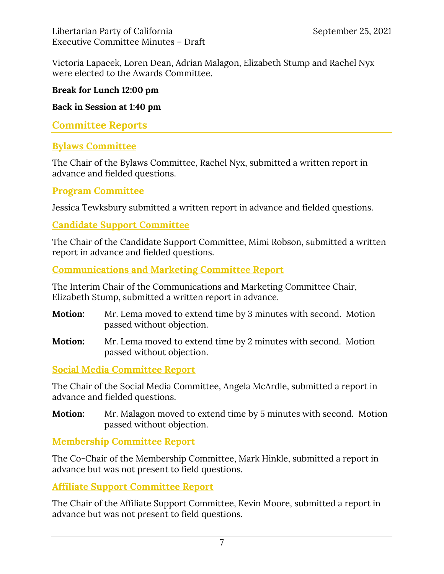Victoria Lapacek, Loren Dean, Adrian Malagon, Elizabeth Stump and Rachel Nyx were elected to the Awards Committee.

#### **Break for Lunch 12:00 pm**

**Back in Session at 1:40 pm** 

# **Committee Reports**

# **Bylaws Committee**

The Chair of the Bylaws Committee, Rachel Nyx, submitted a written report in advance and fielded questions.

#### **Program Committee**

Jessica Tewksbury submitted a written report in advance and fielded questions.

#### **Candidate Support Committee**

The Chair of the Candidate Support Committee, Mimi Robson, submitted a written report in advance and fielded questions.

#### **Communications and Marketing Committee Report**

The Interim Chair of the Communications and Marketing Committee Chair, Elizabeth Stump, submitted a written report in advance.

- **Motion:** Mr. Lema moved to extend time by 3 minutes with second. Motion passed without objection.
- **Motion:** Mr. Lema moved to extend time by 2 minutes with second. Motion passed without objection.

# **Social Media Committee Report**

The Chair of the Social Media Committee, Angela McArdle, submitted a report in advance and fielded questions.

**Motion:** Mr. Malagon moved to extend time by 5 minutes with second. Motion passed without objection.

# **Membership Committee Report**

The Co-Chair of the Membership Committee, Mark Hinkle, submitted a report in advance but was not present to field questions.

#### **Affiliate Support Committee Report**

The Chair of the Affiliate Support Committee, Kevin Moore, submitted a report in advance but was not present to field questions.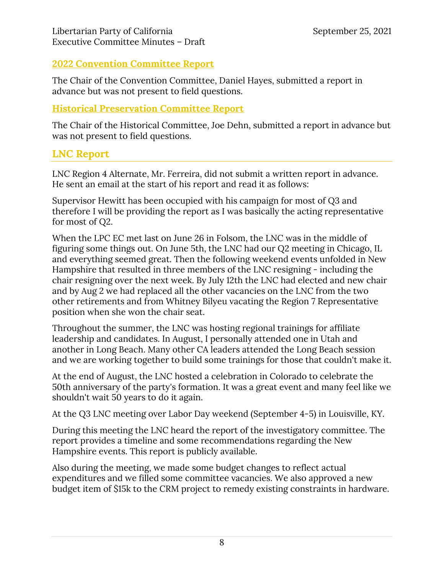### **2022 Convention Committee Report**

The Chair of the Convention Committee, Daniel Hayes, submitted a report in advance but was not present to field questions.

#### **Historical Preservation Committee Report**

The Chair of the Historical Committee, Joe Dehn, submitted a report in advance but was not present to field questions.

# **LNC Report**

LNC Region 4 Alternate, Mr. Ferreira, did not submit a written report in advance. He sent an email at the start of his report and read it as follows:

Supervisor Hewitt has been occupied with his campaign for most of Q3 and therefore I will be providing the report as I was basically the acting representative for most of Q2.

When the LPC EC met last on June 26 in Folsom, the LNC was in the middle of figuring some things out. On June 5th, the LNC had our Q2 meeting in Chicago, IL and everything seemed great. Then the following weekend events unfolded in New Hampshire that resulted in three members of the LNC resigning - including the chair resigning over the next week. By July 12th the LNC had elected and new chair and by Aug 2 we had replaced all the other vacancies on the LNC from the two other retirements and from Whitney Bilyeu vacating the Region 7 Representative position when she won the chair seat.

Throughout the summer, the LNC was hosting regional trainings for affiliate leadership and candidates. In August, I personally attended one in Utah and another in Long Beach. Many other CA leaders attended the Long Beach session and we are working together to build some trainings for those that couldn't make it.

At the end of August, the LNC hosted a celebration in Colorado to celebrate the 50th anniversary of the party's formation. It was a great event and many feel like we shouldn't wait 50 years to do it again.

At the Q3 LNC meeting over Labor Day weekend (September 4-5) in Louisville, KY.

During this meeting the LNC heard the report of the investigatory committee. The report provides a timeline and some recommendations regarding the New Hampshire events. This report is publicly available.

Also during the meeting, we made some budget changes to reflect actual expenditures and we filled some committee vacancies. We also approved a new budget item of \$15k to the CRM project to remedy existing constraints in hardware.